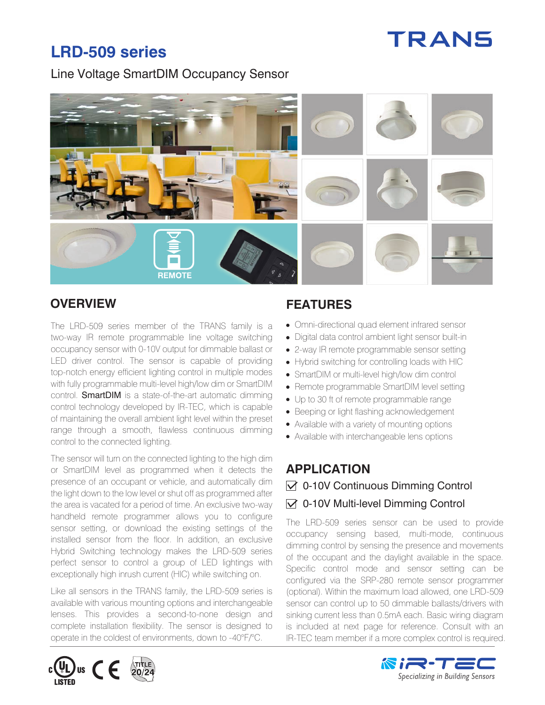# **TRANS**

# **LRD-509 series**

Line Voltage SmartDIM Occupancy Sensor



The LRD-509 series member of the TRANS family is a two-way IR remote programmable line voltage switching occupancy sensor with 0-10V output for dimmable ballast or LED driver control. The sensor is capable of providing top-notch energy efficient lighting control in multiple modes with fully programmable multi-level high/low dim or SmartDIM control. **SmartDIM** is a state-of-the-art automatic dimming control technology developed by IR-TEC, which is capable of maintaining the overall ambient light level within the preset range through a smooth, flawless continuous dimming control to the connected lighting.

The sensor will turn on the connected lighting to the high dim or SmartDIM level as programmed when it detects the presence of an occupant or vehicle, and automatically dim the light down to the low level or shut off as programmed after the area is vacated for a period of time. An exclusive two-way handheld remote programmer allows you to configure sensor setting, or download the existing settings of the installed sensor from the floor. In addition, an exclusive Hybrid Switching technology makes the LRD-509 series perfect sensor to control a group of LED lightings with exceptionally high inrush current (HIC) while switching on.

Like all sensors in the TRANS family, the LRD-509 series is available with various mounting options and interchangeable lenses. This provides a second-to-none design and complete installation flexibility. The sensor is designed to operate in the coldest of environments, down to -40°F/°C.

# **OVERVIEW FEATURES**

- Omni-directional quad element infrared sensor
- Digital data control ambient light sensor built-in
- 2-way IR remote programmable sensor setting
- Hybrid switching for controlling loads with HIC
- SmartDIM or multi-level high/low dim control
- Remote programmable SmartDIM level setting
- Up to 30 ft of remote programmable range
- Beeping or light flashing acknowledgement
- Available with a variety of mounting options
- Available with interchangeable lens options

# **APPLICATION**   $\sqrt{$  0-10V Continuous Dimming Control  $\vee$  0-10V Multi-level Dimming Control

The LRD-509 series sensor can be used to provide occupancy sensing based, multi-mode, continuous dimming control by sensing the presence and movements of the occupant and the daylight available in the space. Specific control mode and sensor setting can be configured via the SRP-280 remote sensor programmer (optional). Within the maximum load allowed, one LRD-509 sensor can control up to 50 dimmable ballasts/drivers with sinking current less than 0.5mA each. Basic wiring diagram is included at next page for reference. Consult with an IR-TEC team member if a more complex control is required.